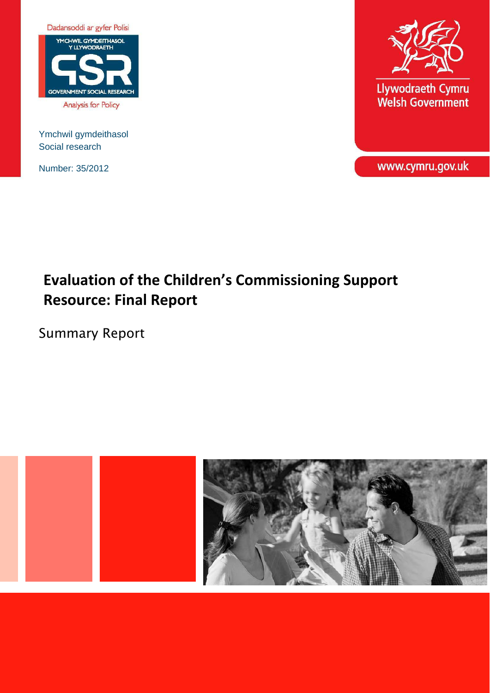

Analysis for Policy

Ymchwil gymdeithasol Social research

Number: 35/2012



Llywodraeth Cymru<br>Welsh Government

www.cymru.gov.uk

# **Evaluation of the Children's Commissioning Support Resource: Final Report**

Summary Report

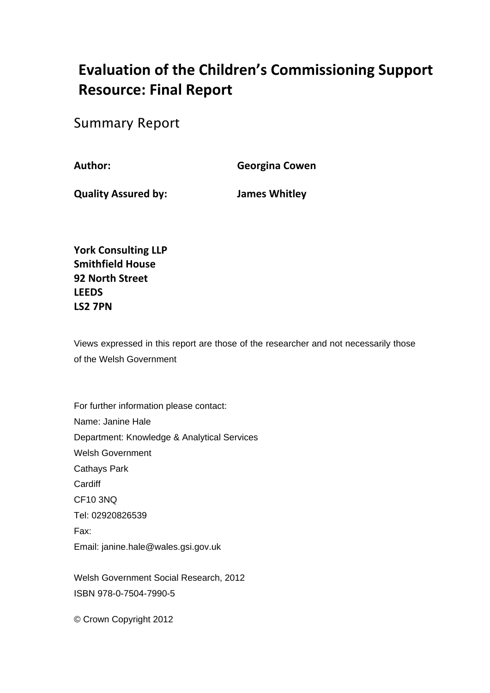# **Evaluation of the Children's Commissioning Support Resource: Final Report**

Summary Report

**Author: Georgina Cowen**

**Quality Assured by: James Whitley**

**York Consulting LLP Smithfield House 92 North Street LEEDS LS2 7PN** 

Views expressed in this report are those of the researcher and not necessarily those of the Welsh Government

For further information please contact: Name: Janine Hale Department: Knowledge & Analytical Services Welsh Government Cathays Park **Cardiff** CF10 3NQ Tel: 02920826539 Fax: Email: janine.hale@wales.gsi.gov.uk

Welsh Government Social Research, 2012 ISBN 978-0-7504-7990-5

© Crown Copyright 2012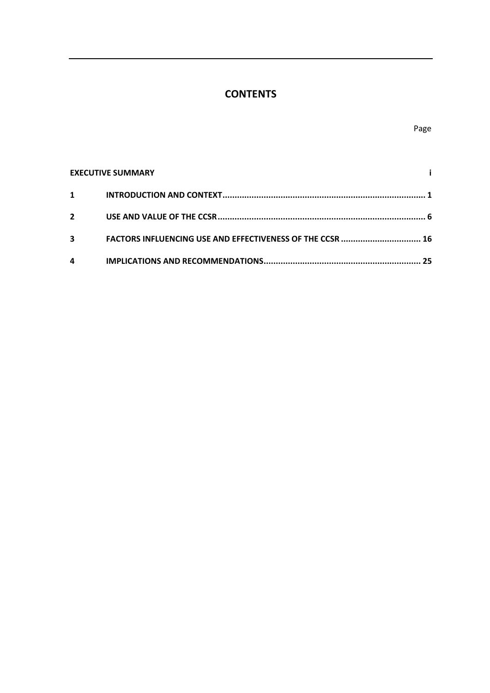# **CONTENTS**

| <b>EXECUTIVE SUMMARY</b> |                                                           |    |
|--------------------------|-----------------------------------------------------------|----|
| $\mathbf 1$              |                                                           |    |
| $\overline{2}$           |                                                           |    |
| 3                        | FACTORS INFLUENCING USE AND EFFECTIVENESS OF THE CCSR  16 |    |
| 4                        |                                                           | 25 |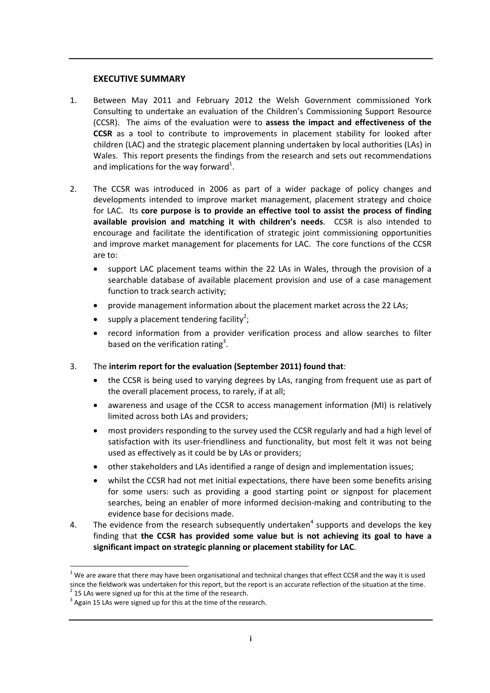### **EXECUTIVE SUMMARY**

- 1. Between May 2011 and February 2012 the Welsh Government commissioned York Consulting to undertake an evaluation of the Children's Commissioning Support Resource (CCSR). The aims of the evaluation were to **assess the impact and effectiveness of the CCSR** as a tool to contribute to improvements in placement stability for looked after children (LAC) and the strategic placement planning undertaken by local authorities (LAs) in Wales. This report presents the findings from the research and sets out recommendations and implications for the way forward<sup>1</sup>.
- 2. The CCSR was introduced in 2006 as part of a wider package of policy changes and developments intended to improve market management, placement strategy and choice for LAC. Its **core purpose is to provide an effective tool to assist the process of finding available provision and matching it with children's needs**. CCSR is also intended to encourage and facilitate the identification of strategic joint commissioning opportunities and improve market management for placements for LAC. The core functions of the CCSR are to:
	- support LAC placement teams within the 22 LAs in Wales, through the provision of a searchable database of available placement provision and use of a case management function to track search activity;
	- provide management information about the placement market across the 22 LAs;
	- supply a placement tendering facility<sup>2</sup>;
	- record information from a provider verification process and allow searches to filter based on the verification rating<sup>3</sup>.
- 3. The **interim report for the evaluation (September 2011) found that**:
	- the CCSR is being used to varying degrees by LAs, ranging from frequent use as part of the overall placement process, to rarely, if at all;
	- awareness and usage of the CCSR to access management information (MI) is relatively limited across both LAs and providers;
	- most providers responding to the survey used the CCSR regularly and had a high level of satisfaction with its user-friendliness and functionality, but most felt it was not being used as effectively as it could be by LAs or providers;
	- other stakeholders and LAs identified a range of design and implementation issues;
	- whilst the CCSR had not met initial expectations, there have been some benefits arising for some users: such as providing a good starting point or signpost for placement searches, being an enabler of more informed decision‐making and contributing to the evidence base for decisions made.
- 4. The evidence from the research subsequently undertaken<sup>4</sup> supports and develops the key finding that **the CCSR has provided some value but is not achieving its goal to have a significant impact on strategic planning or placement stability for LAC**.

<sup>-</sup> $1$  We are aware that there may have been organisational and technical changes that effect CCSR and the way it is used since the fieldwork was undertaken for this report, but the report is an accurate reflection of the situation at the time.<br>  $\frac{2}{3}$  15 LAs were signed up for this at the time of the research.<br>  $\frac{3}{3}$  Again 15 LAs wer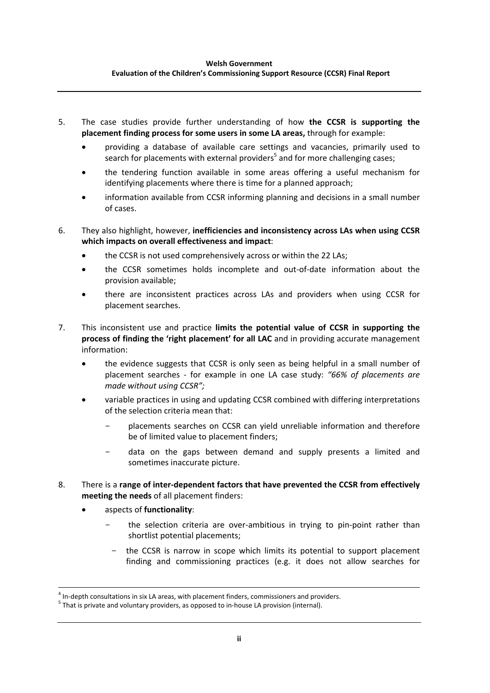#### **Welsh Government Evaluation of the Children's Commissioning Support Resource (CCSR) Final Report**

- 5. The case studies provide further understanding of how **the CCSR is supporting the placement finding process for some users in some LA areas,** through for example:
	- providing a database of available care settings and vacancies, primarily used to search for placements with external providers<sup>5</sup> and for more challenging cases;
	- the tendering function available in some areas offering a useful mechanism for identifying placements where there is time for a planned approach;
	- information available from CCSR informing planning and decisions in a small number of cases.
- 6. They also highlight, however, **inefficiencies and inconsistency across LAs when using CCSR which impacts on overall effectiveness and impact**:
	- the CCSR is not used comprehensively across or within the 22 LAs;
	- the CCSR sometimes holds incomplete and out‐of‐date information about the provision available;
	- there are inconsistent practices across LAs and providers when using CCSR for placement searches.
- 7. This inconsistent use and practice **limits the potential value of CCSR in supporting the process of finding the 'right placement' for all LAC** and in providing accurate management information:
	- the evidence suggests that CCSR is only seen as being helpful in a small number of placement searches ‐ for example in one LA case study: *"66% of placements are made without using CCSR";*
	- variable practices in using and updating CCSR combined with differing interpretations of the selection criteria mean that:
		- placements searches on CCSR can yield unreliable information and therefore be of limited value to placement finders;
		- data on the gaps between demand and supply presents a limited and sometimes inaccurate picture.
- 8. There is a **range of inter‐dependent factors that have prevented the CCSR from effectively meeting the needs** of all placement finders:
	- aspects of **functionality**:
		- the selection criteria are over-ambitious in trying to pin-point rather than shortlist potential placements;
			- the CCSR is narrow in scope which limits its potential to support placement finding and commissioning practices (e.g. it does not allow searches for

<sup>&</sup>lt;sup>4</sup> In-depth consultations in six LA areas, with placement finders, commissioners and providers.

 $<sup>5</sup>$  That is private and voluntary providers, as opposed to in-house LA provision (internal).</sup>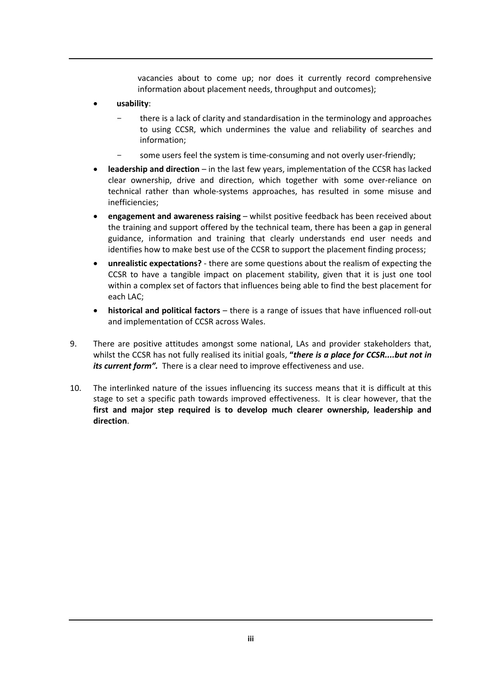vacancies about to come up; nor does it currently record comprehensive information about placement needs, throughput and outcomes);

- **usability**:
	- there is a lack of clarity and standardisation in the terminology and approaches to using CCSR, which undermines the value and reliability of searches and information;
	- some users feel the system is time-consuming and not overly user-friendly;
- **leadership and direction** in the last few years, implementation of the CCSR has lacked clear ownership, drive and direction, which together with some over‐reliance on technical rather than whole‐systems approaches, has resulted in some misuse and inefficiencies;
- **engagement and awareness raising** whilst positive feedback has been received about the training and support offered by the technical team, there has been a gap in general guidance, information and training that clearly understands end user needs and identifies how to make best use of the CCSR to support the placement finding process;
- **unrealistic expectations?** ‐ there are some questions about the realism of expecting the CCSR to have a tangible impact on placement stability, given that it is just one tool within a complex set of factors that influences being able to find the best placement for each LAC;
- **historical and political factors** there is a range of issues that have influenced roll‐out and implementation of CCSR across Wales.
- 9. There are positive attitudes amongst some national, LAs and provider stakeholders that, whilst the CCSR has not fully realised its initial goals, **"***there is a place for CCSR....but not in its current form".* There is a clear need to improve effectiveness and use.
- 10. The interlinked nature of the issues influencing its success means that it is difficult at this stage to set a specific path towards improved effectiveness. It is clear however, that the **first and major step required is to develop much clearer ownership, leadership and direction**.